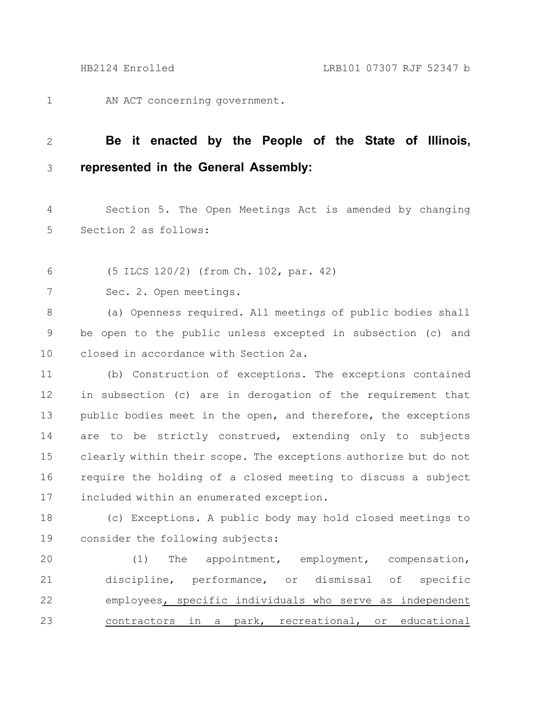AN ACT concerning government. 1

## **Be it enacted by the People of the State of Illinois, represented in the General Assembly:** 2 3

Section 5. The Open Meetings Act is amended by changing Section 2 as follows: 4 5

(5 ILCS 120/2) (from Ch. 102, par. 42) 6

Sec. 2. Open meetings. 7

(a) Openness required. All meetings of public bodies shall be open to the public unless excepted in subsection (c) and closed in accordance with Section 2a. 8 9 10

(b) Construction of exceptions. The exceptions contained in subsection (c) are in derogation of the requirement that public bodies meet in the open, and therefore, the exceptions are to be strictly construed, extending only to subjects clearly within their scope. The exceptions authorize but do not require the holding of a closed meeting to discuss a subject included within an enumerated exception. 11 12 13 14 15 16 17

(c) Exceptions. A public body may hold closed meetings to consider the following subjects: 18 19

(1) The appointment, employment, compensation, discipline, performance, or dismissal of specific employees, specific individuals who serve as independent contractors in a park, recreational, or educational 20 21 22 23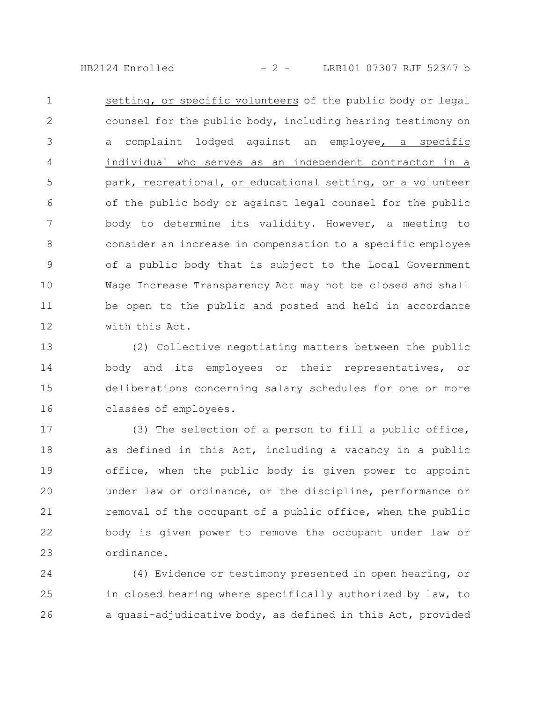HB2124 Enrolled - 2 - LRB101 07307 RJF 52347 b

setting, or specific volunteers of the public body or legal counsel for the public body, including hearing testimony on a complaint lodged against an employee, a specific individual who serves as an independent contractor in a park, recreational, or educational setting, or a volunteer of the public body or against legal counsel for the public body to determine its validity. However, a meeting to consider an increase in compensation to a specific employee of a public body that is subject to the Local Government Wage Increase Transparency Act may not be closed and shall be open to the public and posted and held in accordance with this Act. 1 2 3 4 5 6 7 8 9 10 11 12

(2) Collective negotiating matters between the public body and its employees or their representatives, or deliberations concerning salary schedules for one or more classes of employees. 13 14 15 16

(3) The selection of a person to fill a public office, as defined in this Act, including a vacancy in a public office, when the public body is given power to appoint under law or ordinance, or the discipline, performance or removal of the occupant of a public office, when the public body is given power to remove the occupant under law or ordinance. 17 18 19 20 21 22 23

(4) Evidence or testimony presented in open hearing, or in closed hearing where specifically authorized by law, to a quasi-adjudicative body, as defined in this Act, provided 24 25 26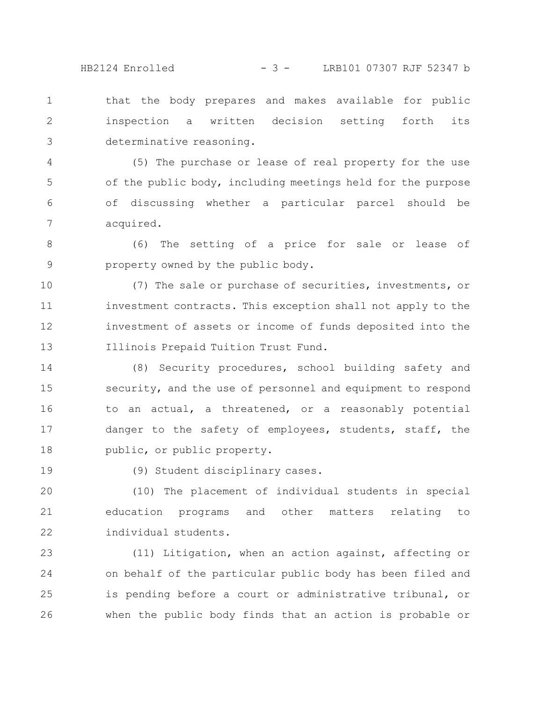that the body prepares and makes available for public inspection a written decision setting forth its determinative reasoning. 1 2 3

(5) The purchase or lease of real property for the use of the public body, including meetings held for the purpose of discussing whether a particular parcel should be acquired. 4 5 6 7

(6) The setting of a price for sale or lease of property owned by the public body. 8 9

(7) The sale or purchase of securities, investments, or investment contracts. This exception shall not apply to the investment of assets or income of funds deposited into the Illinois Prepaid Tuition Trust Fund. 10 11 12 13

(8) Security procedures, school building safety and security, and the use of personnel and equipment to respond to an actual, a threatened, or a reasonably potential danger to the safety of employees, students, staff, the public, or public property. 14 15 16 17 18

19

(9) Student disciplinary cases.

(10) The placement of individual students in special education programs and other matters relating to individual students. 20 21 22

(11) Litigation, when an action against, affecting or on behalf of the particular public body has been filed and is pending before a court or administrative tribunal, or when the public body finds that an action is probable or 23 24 25 26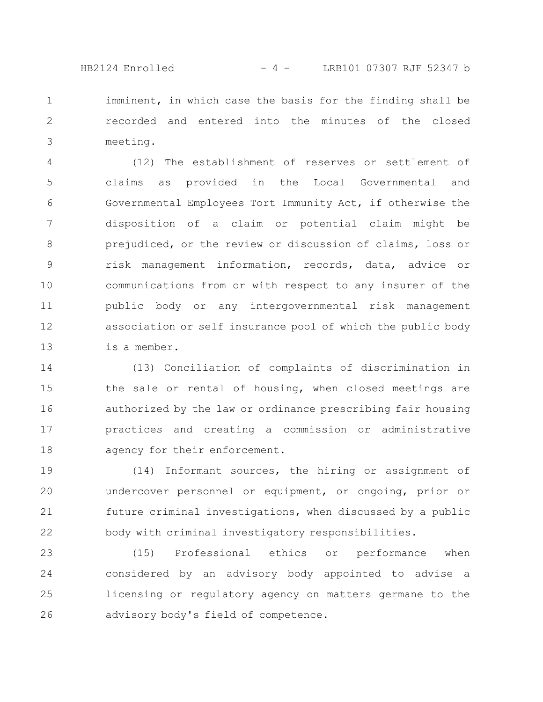HB2124 Enrolled - 4 - LRB101 07307 RJF 52347 b

imminent, in which case the basis for the finding shall be recorded and entered into the minutes of the closed meeting. 1 2 3

(12) The establishment of reserves or settlement of claims as provided in the Local Governmental and Governmental Employees Tort Immunity Act, if otherwise the disposition of a claim or potential claim might be prejudiced, or the review or discussion of claims, loss or risk management information, records, data, advice or communications from or with respect to any insurer of the public body or any intergovernmental risk management association or self insurance pool of which the public body is a member. 4 5 6 7 8 9 10 11 12 13

(13) Conciliation of complaints of discrimination in the sale or rental of housing, when closed meetings are authorized by the law or ordinance prescribing fair housing practices and creating a commission or administrative agency for their enforcement. 14 15 16 17 18

(14) Informant sources, the hiring or assignment of undercover personnel or equipment, or ongoing, prior or future criminal investigations, when discussed by a public body with criminal investigatory responsibilities. 19 20 21 22

(15) Professional ethics or performance when considered by an advisory body appointed to advise a licensing or regulatory agency on matters germane to the advisory body's field of competence. 23 24 25 26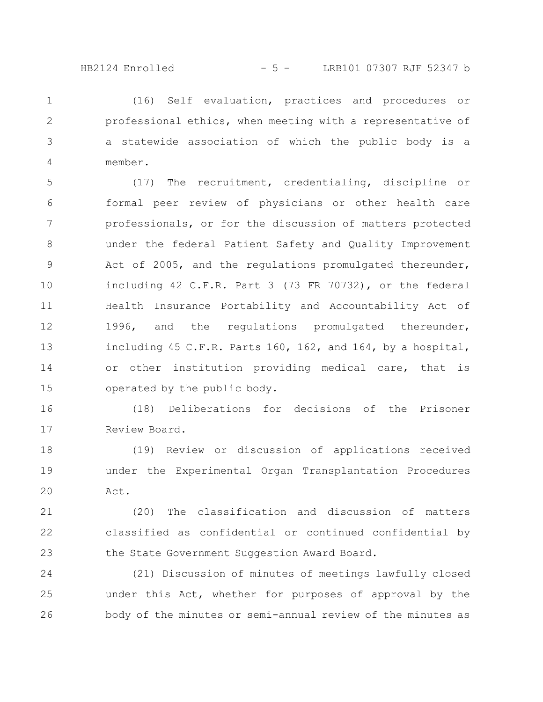(16) Self evaluation, practices and procedures or professional ethics, when meeting with a representative of a statewide association of which the public body is a member. 1 2 3 4

(17) The recruitment, credentialing, discipline or formal peer review of physicians or other health care professionals, or for the discussion of matters protected under the federal Patient Safety and Quality Improvement Act of 2005, and the regulations promulgated thereunder, including 42 C.F.R. Part 3 (73 FR 70732), or the federal Health Insurance Portability and Accountability Act of 1996, and the regulations promulgated thereunder, including 45 C.F.R. Parts 160, 162, and 164, by a hospital, or other institution providing medical care, that is operated by the public body. 5 6 7 8 9 10 11 12 13 14 15

(18) Deliberations for decisions of the Prisoner Review Board. 16 17

(19) Review or discussion of applications received under the Experimental Organ Transplantation Procedures Act. 18 19 20

(20) The classification and discussion of matters classified as confidential or continued confidential by the State Government Suggestion Award Board. 21 22 23

(21) Discussion of minutes of meetings lawfully closed under this Act, whether for purposes of approval by the body of the minutes or semi-annual review of the minutes as 24 25 26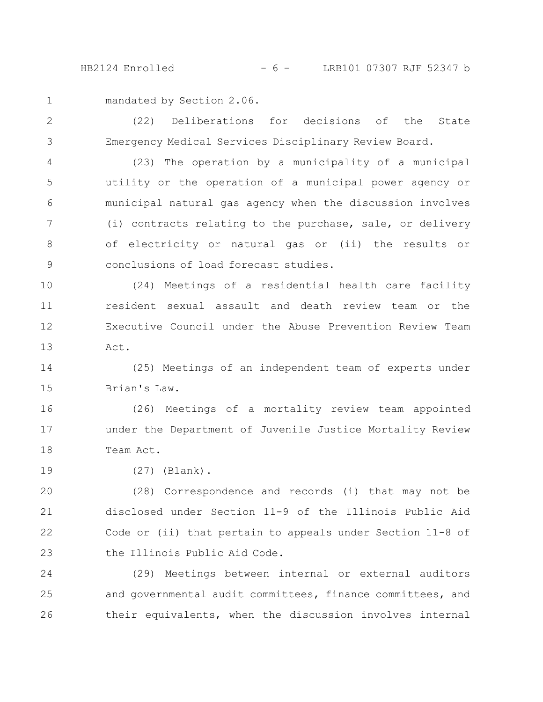HB2124 Enrolled - 6 - LRB101 07307 RJF 52347 b

mandated by Section 2.06. 1

(22) Deliberations for decisions of the State Emergency Medical Services Disciplinary Review Board. 2 3

(23) The operation by a municipality of a municipal utility or the operation of a municipal power agency or municipal natural gas agency when the discussion involves (i) contracts relating to the purchase, sale, or delivery of electricity or natural gas or (ii) the results or conclusions of load forecast studies. 4 5 6 7 8 9

(24) Meetings of a residential health care facility resident sexual assault and death review team or the Executive Council under the Abuse Prevention Review Team Act. 10 11 12 13

(25) Meetings of an independent team of experts under Brian's Law. 14 15

(26) Meetings of a mortality review team appointed under the Department of Juvenile Justice Mortality Review Team Act. 16 17 18

(27) (Blank). 19

(28) Correspondence and records (i) that may not be disclosed under Section 11-9 of the Illinois Public Aid Code or (ii) that pertain to appeals under Section 11-8 of the Illinois Public Aid Code. 20 21 22 23

(29) Meetings between internal or external auditors and governmental audit committees, finance committees, and their equivalents, when the discussion involves internal 24 25 26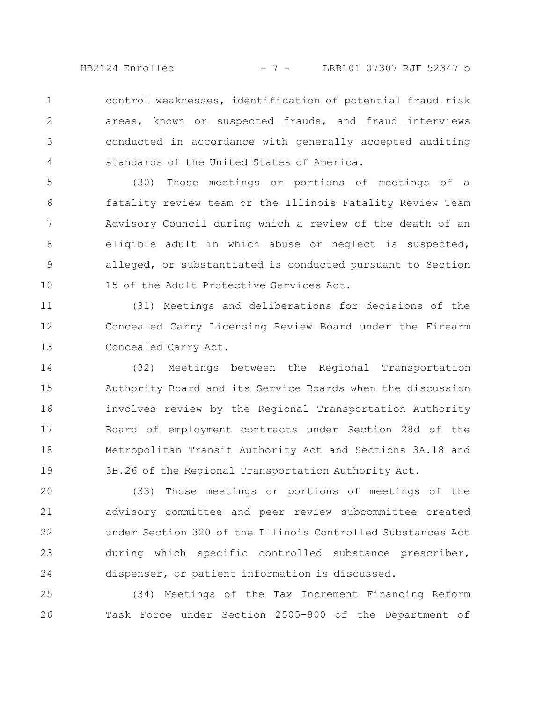HB2124 Enrolled - 7 - LRB101 07307 RJF 52347 b

control weaknesses, identification of potential fraud risk areas, known or suspected frauds, and fraud interviews conducted in accordance with generally accepted auditing standards of the United States of America. 1 2 3 4

(30) Those meetings or portions of meetings of a fatality review team or the Illinois Fatality Review Team Advisory Council during which a review of the death of an eligible adult in which abuse or neglect is suspected, alleged, or substantiated is conducted pursuant to Section 15 of the Adult Protective Services Act. 5 6 7 8 9 10

(31) Meetings and deliberations for decisions of the Concealed Carry Licensing Review Board under the Firearm Concealed Carry Act. 11 12 13

(32) Meetings between the Regional Transportation Authority Board and its Service Boards when the discussion involves review by the Regional Transportation Authority Board of employment contracts under Section 28d of the Metropolitan Transit Authority Act and Sections 3A.18 and 3B.26 of the Regional Transportation Authority Act. 14 15 16 17 18 19

(33) Those meetings or portions of meetings of the advisory committee and peer review subcommittee created under Section 320 of the Illinois Controlled Substances Act during which specific controlled substance prescriber, dispenser, or patient information is discussed. 20 21 22 23 24

(34) Meetings of the Tax Increment Financing Reform Task Force under Section 2505-800 of the Department of 25 26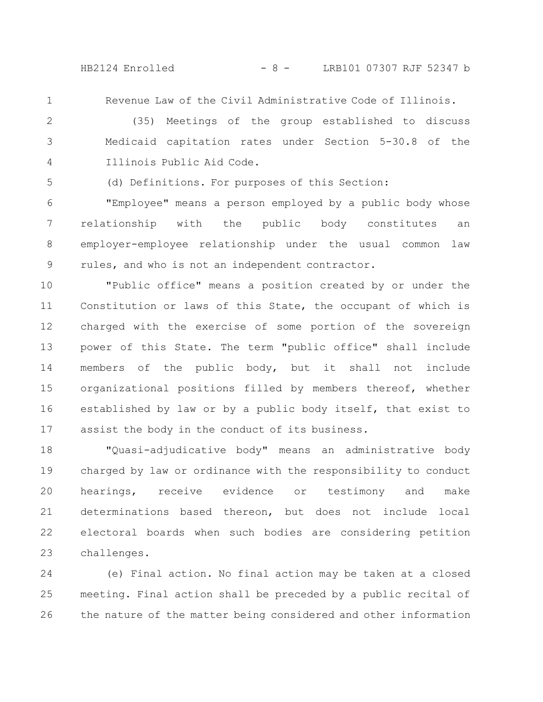HB2124 Enrolled - 8 - LRB101 07307 RJF 52347 b

1

Revenue Law of the Civil Administrative Code of Illinois.

(35) Meetings of the group established to discuss Medicaid capitation rates under Section 5-30.8 of the Illinois Public Aid Code. 2 3 4

5

(d) Definitions. For purposes of this Section:

"Employee" means a person employed by a public body whose relationship with the public body constitutes an employer-employee relationship under the usual common law rules, and who is not an independent contractor. 6 7 8 9

"Public office" means a position created by or under the Constitution or laws of this State, the occupant of which is charged with the exercise of some portion of the sovereign power of this State. The term "public office" shall include members of the public body, but it shall not include organizational positions filled by members thereof, whether established by law or by a public body itself, that exist to assist the body in the conduct of its business. 10 11 12 13 14 15 16 17

"Quasi-adjudicative body" means an administrative body charged by law or ordinance with the responsibility to conduct hearings, receive evidence or testimony and make determinations based thereon, but does not include local electoral boards when such bodies are considering petition challenges. 18 19 20 21 22 23

(e) Final action. No final action may be taken at a closed meeting. Final action shall be preceded by a public recital of the nature of the matter being considered and other information 24 25 26